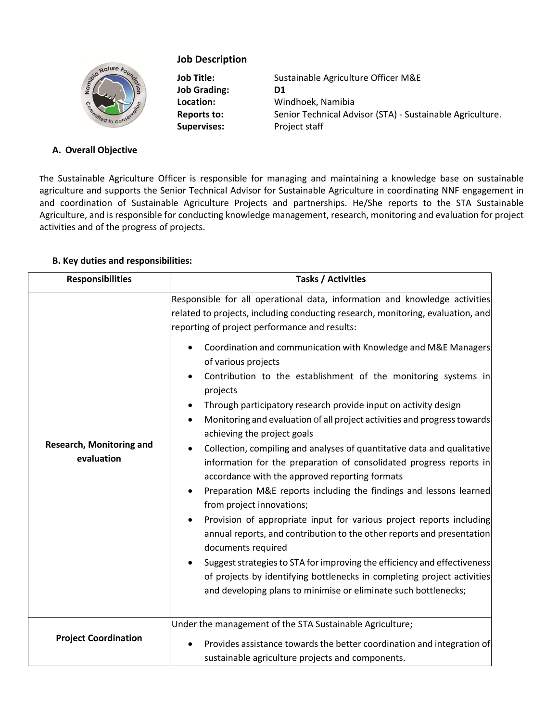

# **Job Description**

**Job Grading: D1 Supervises:** Project staff

**Job Title:** Sustainable Agriculture Officer M&E **Location:** Windhoek, Namibia Reports to: Senior Technical Advisor (STA) - Sustainable Agriculture.

## **A. Overall Objective**

The Sustainable Agriculture Officer is responsible for managing and maintaining a knowledge base on sustainable agriculture and supports the Senior Technical Advisor for Sustainable Agriculture in coordinating NNF engagement in and coordination of Sustainable Agriculture Projects and partnerships. He/She reports to the STA Sustainable Agriculture, and is responsible for conducting knowledge management, research, monitoring and evaluation for project activities and of the progress of projects.

### **B. Key duties and responsibilities:**

| <b>Responsibilities</b>                       | <b>Tasks / Activities</b>                                                                                                                                                                                                                                                                                                                                                                                                                                                                                                                                                                                                                                                                                                                                                                                                                                                                                                                                                                                                                                                                                                                                                                                                                                                    |
|-----------------------------------------------|------------------------------------------------------------------------------------------------------------------------------------------------------------------------------------------------------------------------------------------------------------------------------------------------------------------------------------------------------------------------------------------------------------------------------------------------------------------------------------------------------------------------------------------------------------------------------------------------------------------------------------------------------------------------------------------------------------------------------------------------------------------------------------------------------------------------------------------------------------------------------------------------------------------------------------------------------------------------------------------------------------------------------------------------------------------------------------------------------------------------------------------------------------------------------------------------------------------------------------------------------------------------------|
| <b>Research, Monitoring and</b><br>evaluation | Responsible for all operational data, information and knowledge activities<br>related to projects, including conducting research, monitoring, evaluation, and<br>reporting of project performance and results:<br>Coordination and communication with Knowledge and M&E Managers<br>of various projects<br>Contribution to the establishment of the monitoring systems in<br>projects<br>Through participatory research provide input on activity design<br>Monitoring and evaluation of all project activities and progress towards<br>achieving the project goals<br>Collection, compiling and analyses of quantitative data and qualitative<br>information for the preparation of consolidated progress reports in<br>accordance with the approved reporting formats<br>Preparation M&E reports including the findings and lessons learned<br>from project innovations;<br>Provision of appropriate input for various project reports including<br>annual reports, and contribution to the other reports and presentation<br>documents required<br>Suggest strategies to STA for improving the efficiency and effectiveness<br>of projects by identifying bottlenecks in completing project activities<br>and developing plans to minimise or eliminate such bottlenecks; |
| <b>Project Coordination</b>                   | Under the management of the STA Sustainable Agriculture;<br>Provides assistance towards the better coordination and integration of<br>sustainable agriculture projects and components.                                                                                                                                                                                                                                                                                                                                                                                                                                                                                                                                                                                                                                                                                                                                                                                                                                                                                                                                                                                                                                                                                       |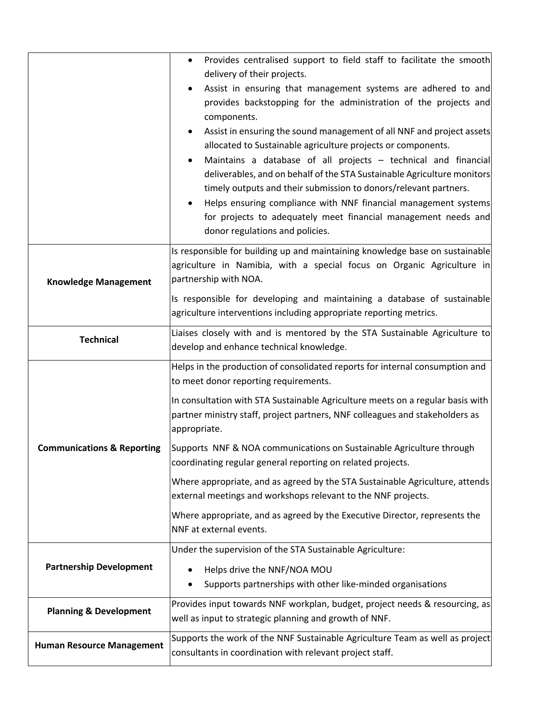|                                       | Provides centralised support to field staff to facilitate the smooth<br>$\bullet$                                                                                                                                                                                                                                                                                                     |
|---------------------------------------|---------------------------------------------------------------------------------------------------------------------------------------------------------------------------------------------------------------------------------------------------------------------------------------------------------------------------------------------------------------------------------------|
|                                       | delivery of their projects.                                                                                                                                                                                                                                                                                                                                                           |
|                                       | Assist in ensuring that management systems are adhered to and<br>provides backstopping for the administration of the projects and<br>components.<br>Assist in ensuring the sound management of all NNF and project assets<br>allocated to Sustainable agriculture projects or components.                                                                                             |
|                                       | Maintains a database of all projects - technical and financial<br>deliverables, and on behalf of the STA Sustainable Agriculture monitors<br>timely outputs and their submission to donors/relevant partners.<br>Helps ensuring compliance with NNF financial management systems<br>for projects to adequately meet financial management needs and<br>donor regulations and policies. |
| <b>Knowledge Management</b>           | Is responsible for building up and maintaining knowledge base on sustainable<br>agriculture in Namibia, with a special focus on Organic Agriculture in<br>partnership with NOA.                                                                                                                                                                                                       |
|                                       | Is responsible for developing and maintaining a database of sustainable<br>agriculture interventions including appropriate reporting metrics.                                                                                                                                                                                                                                         |
| <b>Technical</b>                      | Liaises closely with and is mentored by the STA Sustainable Agriculture to<br>develop and enhance technical knowledge.                                                                                                                                                                                                                                                                |
|                                       |                                                                                                                                                                                                                                                                                                                                                                                       |
|                                       | Helps in the production of consolidated reports for internal consumption and<br>to meet donor reporting requirements.                                                                                                                                                                                                                                                                 |
|                                       | In consultation with STA Sustainable Agriculture meets on a regular basis with<br>partner ministry staff, project partners, NNF colleagues and stakeholders as<br>appropriate.                                                                                                                                                                                                        |
| <b>Communications &amp; Reporting</b> | Supports NNF & NOA communications on Sustainable Agriculture through<br>coordinating regular general reporting on related projects.                                                                                                                                                                                                                                                   |
|                                       | Where appropriate, and as agreed by the STA Sustainable Agriculture, attends<br>external meetings and workshops relevant to the NNF projects.                                                                                                                                                                                                                                         |
|                                       | Where appropriate, and as agreed by the Executive Director, represents the<br>NNF at external events.                                                                                                                                                                                                                                                                                 |
|                                       | Under the supervision of the STA Sustainable Agriculture:                                                                                                                                                                                                                                                                                                                             |
| <b>Partnership Development</b>        | Helps drive the NNF/NOA MOU<br>Supports partnerships with other like-minded organisations                                                                                                                                                                                                                                                                                             |
| <b>Planning &amp; Development</b>     | Provides input towards NNF workplan, budget, project needs & resourcing, as<br>well as input to strategic planning and growth of NNF.                                                                                                                                                                                                                                                 |